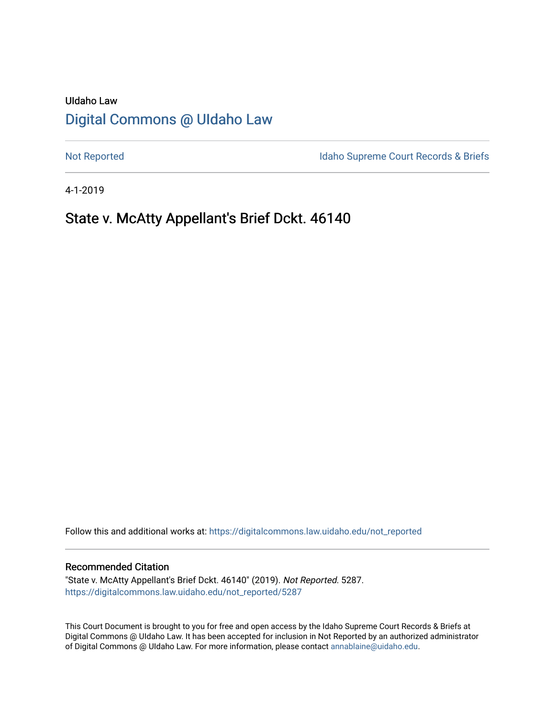# UIdaho Law [Digital Commons @ UIdaho Law](https://digitalcommons.law.uidaho.edu/)

[Not Reported](https://digitalcommons.law.uidaho.edu/not_reported) **Idaho Supreme Court Records & Briefs** 

4-1-2019

## State v. McAtty Appellant's Brief Dckt. 46140

Follow this and additional works at: [https://digitalcommons.law.uidaho.edu/not\\_reported](https://digitalcommons.law.uidaho.edu/not_reported?utm_source=digitalcommons.law.uidaho.edu%2Fnot_reported%2F5287&utm_medium=PDF&utm_campaign=PDFCoverPages) 

#### Recommended Citation

"State v. McAtty Appellant's Brief Dckt. 46140" (2019). Not Reported. 5287. [https://digitalcommons.law.uidaho.edu/not\\_reported/5287](https://digitalcommons.law.uidaho.edu/not_reported/5287?utm_source=digitalcommons.law.uidaho.edu%2Fnot_reported%2F5287&utm_medium=PDF&utm_campaign=PDFCoverPages)

This Court Document is brought to you for free and open access by the Idaho Supreme Court Records & Briefs at Digital Commons @ UIdaho Law. It has been accepted for inclusion in Not Reported by an authorized administrator of Digital Commons @ UIdaho Law. For more information, please contact [annablaine@uidaho.edu](mailto:annablaine@uidaho.edu).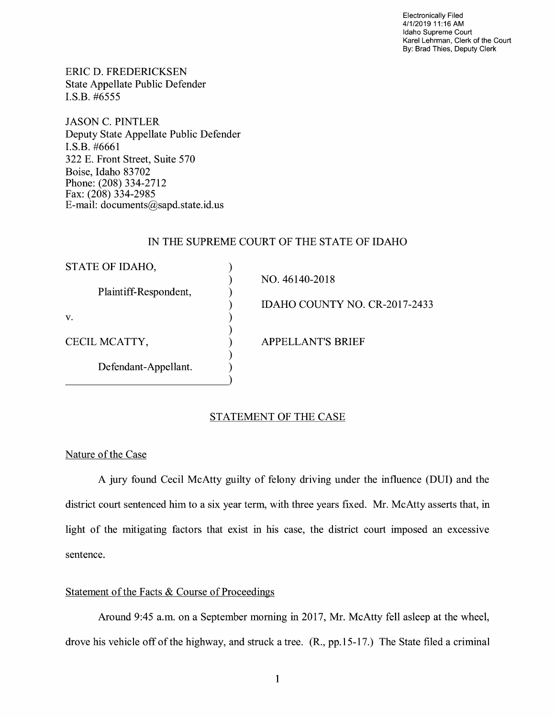Electronically Filed 4/1/2019 11:16 AM Idaho Supreme Court Karel Lehrman, Clerk of the Court By: Brad Thies, Deputy Clerk

ERIC D. FREDERICKSEN State Appellate Public Defender I.S.B. #6555

JASON C. PINTLER Deputy State Appellate Public Defender **I.S.B.** #6661 322 E. Front Street, Suite 570 Boise, Idaho 83702 Phone: (208) 334-2712 Fax: (208) 334-2985 E-mail: documents@sapd.state.id. us

## IN THE SUPREME COURT OF THE STATE OF IDAHO

| STATE OF IDAHO,       |                               |
|-----------------------|-------------------------------|
|                       | NO. 46140-2018                |
| Plaintiff-Respondent, |                               |
|                       | IDAHO COUNTY NO. CR-2017-2433 |
| V.                    |                               |
|                       |                               |
| CECIL MCATTY,         | <b>APPELLANT'S BRIEF</b>      |
|                       |                               |
| Defendant-Appellant.  |                               |
|                       |                               |

## STATEMENT OF THE CASE

## Nature of the Case

A jury found Cecil McAtty guilty of felony driving under the influence (DUI) and the district court sentenced him to a six year term, with three years fixed. Mr. McAtty asserts that, in light of the mitigating factors that exist in his case, the district court imposed an excessive sentence.

## Statement of the Facts & Course of Proceedings

Around 9:45 a.m. on a September morning in 2017, Mr. McAtty fell asleep at the wheel, drove his vehicle off of the highway, and struck a tree. (R., pp.15-17.) The State filed a criminal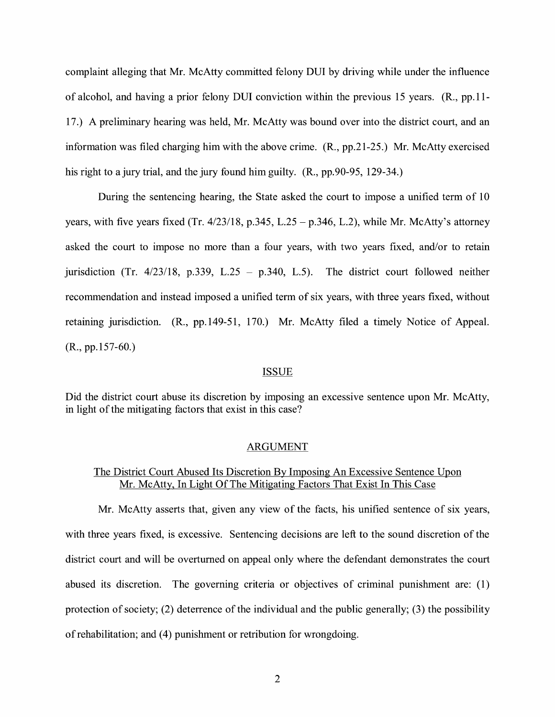complaint alleging that Mr. McAtty committed felony DUI by driving while under the influence of alcohol, and having a prior felony DUI conviction within the previous 15 years. **(R.,** pp.11- 17.) A preliminary hearing was held, Mr. McAtty was bound over into the district court, and an information was filed charging him with the above crime. (R., pp.21-25.) Mr. McAtty exercised his right to a jury trial, and the jury found him guilty. (R., pp.90-95, 129-34.)

During the sentencing hearing, the State asked the court to impose a unified term of 10 years, with five years fixed (Tr.  $4/23/18$ , p.345, L.25 – p.346, L.2), while Mr. McAtty's attorney asked the court to impose no more than a four years, with two years fixed, and/or to retain jurisdiction (Tr.  $4/23/18$ , p.339, L.25 - p.340, L.5). The district court followed neither recommendation and instead imposed a unified term of six years, with three years fixed, without retaining jurisdiction. (R., pp.149-51, 170.) Mr. McAtty filed a timely Notice of Appeal. (R., pp.157-60.)

#### ISSUE

Did the district court abuse its discretion by imposing an excessive sentence upon Mr. McAtty, in light of the mitigating factors that exist in this case?

#### ARGUMENT

#### The District Court Abused Its Discretion By Imposing An Excessive Sentence Upon Mr. McAtty, In Light Of The Mitigating Factors That Exist In This Case

Mr. McAtty asserts that, given any view of the facts, his unified sentence of six years, with three years fixed, is excessive. Sentencing decisions are left to the sound discretion of the district court and will be overturned on appeal only where the defendant demonstrates the court abused its discretion. The governing criteria or objectives of criminal punishment are: (1) protection of society; (2) deterrence of the individual and the public generally; (3) the possibility of rehabilitation; and (4) punishment or retribution for wrongdoing.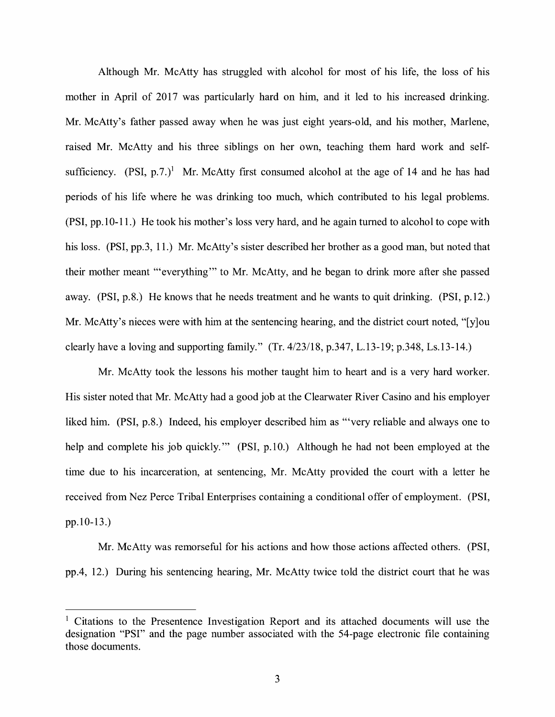Although Mr. McAtty has struggled with alcohol for most of his life, the loss of his mother in April of 2017 was particularly hard on him, and it led to his increased drinking. Mr. McAtty's father passed away when he was just eight years-old, and his mother, Marlene, raised Mr. McAtty and his three siblings on her own, teaching them hard work and selfsufficiency.  $(PSI, p.7.)^1$  Mr. McAtty first consumed alcohol at the age of 14 and he has had periods of his life where he was drinking too much, which contributed to his legal problems. (PSI, pp.10-11.) He took his mother's loss very hard, and he again turned to alcohol to cope with his loss. (PSI, pp.3, 11.) Mr. McAtty's sister described her brother as a good man, but noted that their mother meant '"everything"' to Mr. McAtty, and he began to drink more after she passed away. (PSI, p.8.) He knows that he needs treatment and he wants to quit drinking. (PSI, p.12.) Mr. McAtty's nieces were with him at the sentencing hearing, and the district court noted, "[y]ou clearly have a loving and supporting family." (Tr. 4/23/18, p.347, L.13-19; p.348, Ls.13-14.)

Mr. McAtty took the lessons his mother taught him to heart and is a very hard worker. His sister noted that Mr. McAtty had a good job at the Clearwater River Casino and his employer liked him. (PSI, p.8.) Indeed, his employer described him as "'very reliable and always one to help and complete his job quickly."" (PSI, p.10.) Although he had not been employed at the time due to his incarceration, at sentencing, Mr. McAtty provided the court with a letter he received from Nez Perce Tribal Enterprises containing a conditional offer of employment. (PSI, pp.10-13.)

Mr. McAtty was remorseful for his actions and how those actions affected others. (PSI, pp.4, 12.) During his sentencing hearing, Mr. McAtty twice told the district court that he was

<sup>&</sup>lt;sup>1</sup> Citations to the Presentence Investigation Report and its attached documents will use the designation **"PSI"** and the page number associated with the 54-page electronic file containing those documents.